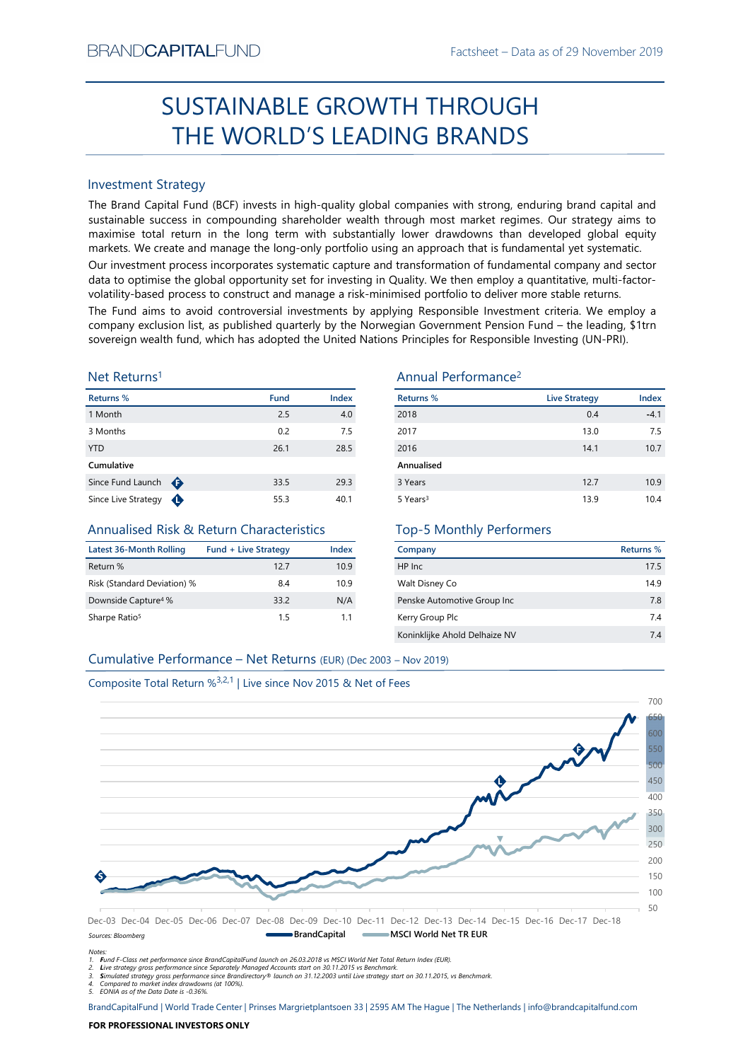# Factsheet – Data as of 29 November 2019<br> **HROUGH** SUSTAINABLE GROWTH THROUGH THE WORLD'S LEADING BRANDS

# Investment Strategy

SUSTAINABLE GROWTH THROUGH<br>
THE WORLD'S LEADING BRANDS<br>
Investment Strategy<br>
Investment Strategy<br>
Investment Strategy<br>
Investment Strategy and Capital Fund (BCF) invests in high-quality global companies with strong, endur 1 Month 2.5 4.0 SUSTAINABLE GROWTH THROUGH<br>
THE WORLD'S LEADING BRANDS<br>
Investment Strategy<br>
The Brand Capital Fund (BCF) invests in high-quality global comparies with strong, enduring brand capital and<br>
maximise to calculate turn in the THE WORLD'S LEADING BRANDS<br>
Investment Strategy<br>
The Brand Capital Fund (BCF) invests in high-quality global companies with strong, enduring brand capital and<br>
the Brand Capital Fund (BCF) invests in high-quality global c Investment Strategy<br>
The Brand Capital Fund (BCF) invests in high-quality global companies with strong, enduring brand capital and<br>
sustainable success in compounding shareholder wealth through most market regimes. Our str Investment Strategy<br>
Since Europe Since Comparison (ICCF) invests in high-quality global companies with strong, enduring brand Capital and<br>
Since Europe Since Compounding shareholder wealth through most market regimes. Our BRAND**CAPITAL**FUND<br>
Factsheet – Data as of 29 November 2019<br> **SUSTAINABLE GROWTH THROUGH**<br> **THE WORLD'S LEADING BRANDS**<br>
Investment Strategy<br>
Investment Strategy<br>
Investment Strategy<br>
Investment Strategy<br>
Investment Strate BRAND**CAPITAL**FUND<br>
SUSTAINABLE GROWTH THROUGH<br>
THE WORLD'S LEADING BRANDS<br>
Investment Strategy<br>
The Brand Capital Fund (BCF) invests in high-quality global companies with strong, enduring brand capital and<br>
Investment Str BRAND**CAPITAL**FUND<br>
SUSTAINABLE GROWTH THROUGH<br>
THE WORLD'S LEADING BRANDS<br>
Investment Strategy<br>
Inte Brand Capital Fund (BCF) invests in high-quality global companies with strong, enduring brand capital and<br>
sustainable s ERAND**CAPITAL**FUND<br>
Factsheet – Data as of 29 November 2019<br>
SUSTAINABLE GROWTH THROUGH<br>
THE WORLD'S LEADING BRANDS<br>
Investment Strategy<br>
Investment Strategy<br>
Investment Strategy<br>
Investment Strategy<br>
Investment Strategy<br> BRAND**CAPITAL**FUND<br>
SUSTAINABLE GROWTH THROUGH<br>
THE WORLD'S LEADING BRANDS<br>
Investment Strategy<br>
Investment Strategy<br>
Investment Strategy<br>
Investment Strategy<br>
Investment Strategy<br>
Sustainable success in compounding shareh BRANDCAPITALFUND Factsheet – Data as of 29 November 2019<br>
SUSTAINABLE GROWTH THROUGH<br>
THE WORLD'S LEADING BRANDS<br>
Investment Strategy<br>
The Brand Capital Fund (ICF) invests in high-quality global companies with strong, endu BRANDCAPITALFUND<br>
SUSTAINABLE GROWTH THROUGH<br>
THE WORLD'S LEADING BRANDS<br>
Investment Strategy<br>
Interactional Construct and Construct and CONSTRATIONS<br>
Investment Strategy<br>
The Brand Capital Fund (BCF) invests in high-quali BRANDCAPITALFUND<br>
Factsheet – Data as of 29 November 2019<br>
SUSTAINABLE GROWTH THROUGH<br>
THE WORLD'S LEADING BRANDS<br>
Investment Strategy<br>
The Brand Gapital Fund (BCF) invests in high-quality global companies with strong, end BRANDCAPITALFUND<br>
SUSTAINABLE GROWTH THROUGH<br>
THE WORLD'S LEADING BRANDS<br>
Investment Strategy<br>
The Brand Capital Fund (BCF) invests in high-quality global companies with strong, enduring brand capital and<br>
maximize to con BRANDCAPITALFUND<br>
SUSTAINABLE GROWTH THROUGH<br>
THE WORLD'S LEADING BRANDS<br>
Investment Strategy<br>
Investment Strategy<br>
Investign and Capital Transmack fund, the Strategy<br>
surfainable success in compounding shareholder wealth

# Net Returns1

| Returns %           |   | <b>Fund</b> | <b>Index</b> |
|---------------------|---|-------------|--------------|
| 1 Month             |   | 2.5         | 4.0          |
| 3 Months            |   | 0.2         | 7.5          |
| <b>YTD</b>          |   | 26.1        | 28.5         |
| Cumulative          |   |             |              |
| Since Fund Launch   | ⊕ | 33.5        | 29.3         |
| Since Live Strategy |   | 55.3        | 40.1         |

# Annualised Risk & Return Characteristics

| Latest 36-Month Rolling         | <b>Fund + Live Strategy</b> | Index |
|---------------------------------|-----------------------------|-------|
| Return %                        | 127                         | 10.9  |
| Risk (Standard Deviation) %     | 8.4                         | 10.9  |
| Downside Capture <sup>4</sup> % | 33.2                        | N/A   |
| Sharpe Ratio <sup>5</sup>       | 15                          | 11    |

# Annual Performance2

|                                                                               |                             |       | <b>SUSTAINABLE GROWTH THROUGH</b>                                                                                                                                                                                                                                                                                                                                                                                                                             |                      |                  |
|-------------------------------------------------------------------------------|-----------------------------|-------|---------------------------------------------------------------------------------------------------------------------------------------------------------------------------------------------------------------------------------------------------------------------------------------------------------------------------------------------------------------------------------------------------------------------------------------------------------------|----------------------|------------------|
|                                                                               |                             |       | THE WORLD'S LEADING BRANDS                                                                                                                                                                                                                                                                                                                                                                                                                                    |                      |                  |
|                                                                               |                             |       |                                                                                                                                                                                                                                                                                                                                                                                                                                                               |                      |                  |
| <b>Investment Strategy</b>                                                    |                             |       |                                                                                                                                                                                                                                                                                                                                                                                                                                                               |                      |                  |
|                                                                               |                             |       | The Brand Capital Fund (BCF) invests in high-quality global companies with strong, enduring brand capital and<br>sustainable success in compounding shareholder wealth through most market regimes. Our strategy aims to<br>maximise total return in the long term with substantially lower drawdowns than developed global equity<br>markets. We create and manage the long-only portfolio using an approach that is fundamental yet systematic.             |                      |                  |
|                                                                               |                             |       | Our investment process incorporates systematic capture and transformation of fundamental company and sector<br>data to optimise the global opportunity set for investing in Quality. We then employ a quantitative, multi-factor-<br>volatility-based process to construct and manage a risk-minimised portfolio to deliver more stable returns.<br>The Fund aims to avoid controversial investments by applying Responsible Investment criteria. We employ a |                      |                  |
|                                                                               |                             |       | company exclusion list, as published quarterly by the Norwegian Government Pension Fund - the leading, \$1trn<br>sovereign wealth fund, which has adopted the United Nations Principles for Responsible Investing (UN-PRI).                                                                                                                                                                                                                                   |                      |                  |
| Net Returns <sup>1</sup>                                                      |                             |       | Annual Performance <sup>2</sup>                                                                                                                                                                                                                                                                                                                                                                                                                               |                      |                  |
| <b>Returns %</b>                                                              | <b>Fund</b>                 | Index | <b>Returns %</b>                                                                                                                                                                                                                                                                                                                                                                                                                                              | <b>Live Strategy</b> | Index            |
| 1 Month                                                                       | 2.5                         | 4.0   | 2018                                                                                                                                                                                                                                                                                                                                                                                                                                                          | 0.4                  | $-4.1$           |
| 3 Months                                                                      | 0.2                         | 7.5   | 2017                                                                                                                                                                                                                                                                                                                                                                                                                                                          | 13.0                 | 7.5              |
| YTD                                                                           | 26.1                        | 28.5  | 2016                                                                                                                                                                                                                                                                                                                                                                                                                                                          | 14.1                 | 10.7             |
| Cumulative                                                                    |                             |       | Annualised                                                                                                                                                                                                                                                                                                                                                                                                                                                    |                      |                  |
| Since Fund Launch $\bigoplus$                                                 | 33.5                        | 29.3  | 3 Years                                                                                                                                                                                                                                                                                                                                                                                                                                                       | 12.7                 | 10.9             |
| Since Live Strategy $\bigoplus$                                               | 55.3                        | 40.1  | 5 Years <sup>3</sup>                                                                                                                                                                                                                                                                                                                                                                                                                                          | 13.9                 | 10.4             |
| <b>Annualised Risk &amp; Return Characteristics</b>                           |                             |       | <b>Top-5 Monthly Performers</b>                                                                                                                                                                                                                                                                                                                                                                                                                               |                      |                  |
| <b>Latest 36-Month Rolling</b>                                                | <b>Fund + Live Strategy</b> | Index | Company                                                                                                                                                                                                                                                                                                                                                                                                                                                       |                      | <b>Returns %</b> |
| Return %                                                                      | 12.7                        | 10.9  | HP Inc                                                                                                                                                                                                                                                                                                                                                                                                                                                        |                      | 17.5             |
| Risk (Standard Deviation) %                                                   | 8.4                         | 10.9  | Walt Disney Co                                                                                                                                                                                                                                                                                                                                                                                                                                                |                      | 14.9             |
| Downside Capture <sup>4</sup> %                                               | 33.2                        | N/A   | Penske Automotive Group Inc                                                                                                                                                                                                                                                                                                                                                                                                                                   |                      | 7.8              |
| Sharpe Ratio <sup>5</sup>                                                     | 1.5                         | 1.1   | Kerry Group Plc                                                                                                                                                                                                                                                                                                                                                                                                                                               |                      | 7.4              |
|                                                                               |                             |       | Koninklijke Ahold Delhaize NV                                                                                                                                                                                                                                                                                                                                                                                                                                 |                      | 7.4              |
| Cumulative Performance - Net Returns (EUR) (Dec 2003 - Nov 2019)              |                             |       |                                                                                                                                                                                                                                                                                                                                                                                                                                                               |                      |                  |
|                                                                               |                             |       |                                                                                                                                                                                                                                                                                                                                                                                                                                                               |                      |                  |
| Composite Total Return % <sup>3,2,1</sup>   Live since Nov 2015 & Net of Fees |                             |       |                                                                                                                                                                                                                                                                                                                                                                                                                                                               |                      |                  |
|                                                                               |                             |       |                                                                                                                                                                                                                                                                                                                                                                                                                                                               |                      | 700              |
|                                                                               |                             |       |                                                                                                                                                                                                                                                                                                                                                                                                                                                               |                      |                  |
|                                                                               |                             |       |                                                                                                                                                                                                                                                                                                                                                                                                                                                               |                      |                  |

# Top-5 Monthly Performers

| Company                       | Returns % |
|-------------------------------|-----------|
| HP Inc                        | 17.5      |
| Walt Disney Co                | 14.9      |
| Penske Automotive Group Inc   | 78        |
| Kerry Group Plc               | 74        |
| Koninklijke Ahold Delhaize NV | 74        |





Sources: Bloomberg

Notes:

1. Fund F-Class net performance since BrandCapitalFund launch on 26.03.2018 vs MSCI World Net Total Return Index (EUR).

2. Live strategy gross performance since Separately Managed Accounts start on 30.11.2015 vs Benchmark.<br>3. Simulated strategy gross performance since Brandirectory® launch on 31.12.2003 until Live strategy start on 30.11.20

5. EONIA as of the Data Date is -0.36%.